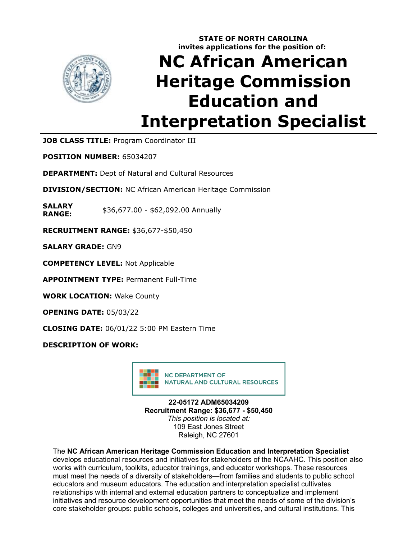

## **STATE OF NORTH CAROLINA invites applications for the position of:**

# **NC African American Heritage Commission Education and Interpretation Specialist**

**JOB CLASS TITLE:** Program Coordinator III

**POSITION NUMBER:** 65034207

**DEPARTMENT:** Dept of Natural and Cultural Resources

**DIVISION/SECTION:** NC African American Heritage Commission

**SALARY RANGE:** \$36,677.00 - \$62,092.00 Annually

**RECRUITMENT RANGE:** \$36,677-\$50,450

**SALARY GRADE:** GN9

**COMPETENCY LEVEL:** Not Applicable

**APPOINTMENT TYPE:** Permanent Full-Time

**WORK LOCATION:** Wake County

**OPENING DATE:** 05/03/22

**CLOSING DATE:** 06/01/22 5:00 PM Eastern Time

**DESCRIPTION OF WORK:**



**22-05172 ADM65034209 Recruitment Range: \$36,677 - \$50,450** *This position is located at:* 109 East Jones Street Raleigh, NC 27601

### The **NC African American Heritage Commission Education and Interpretation Specialist**

develops educational resources and initiatives for stakeholders of the NCAAHC. This position also works with curriculum, toolkits, educator trainings, and educator workshops. These resources must meet the needs of a diversity of stakeholders—from families and students to public school educators and museum educators. The education and interpretation specialist cultivates relationships with internal and external education partners to conceptualize and implement initiatives and resource development opportunities that meet the needs of some of the division's core stakeholder groups: public schools, colleges and universities, and cultural institutions. This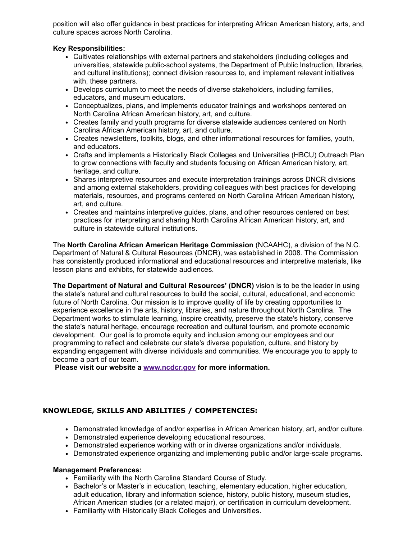position will also offer guidance in best practices for interpreting African American history, arts, and culture spaces across North Carolina.

#### **Key Responsibilities:**

- Cultivates relationships with external partners and stakeholders (including colleges and universities, statewide public-school systems, the Department of Public Instruction, libraries, and cultural institutions); connect division resources to, and implement relevant initiatives with, these partners.
- Develops curriculum to meet the needs of diverse stakeholders, including families, educators, and museum educators.
- Conceptualizes, plans, and implements educator trainings and workshops centered on North Carolina African American history, art, and culture.
- Creates family and youth programs for diverse statewide audiences centered on North Carolina African American history, art, and culture.
- Creates newsletters, toolkits, blogs, and other informational resources for families, youth, and educators.
- Crafts and implements a Historically Black Colleges and Universities (HBCU) Outreach Plan to grow connections with faculty and students focusing on African American history, art, heritage, and culture.
- Shares interpretive resources and execute interpretation trainings across DNCR divisions and among external stakeholders, providing colleagues with best practices for developing materials, resources, and programs centered on North Carolina African American history, art, and culture.
- Creates and maintains interpretive guides, plans, and other resources centered on best practices for interpreting and sharing North Carolina African American history, art, and culture in statewide cultural institutions.

The **North Carolina African American Heritage Commission** (NCAAHC), a division of the N.C. Department of Natural & Cultural Resources (DNCR), was established in 2008. The Commission has consistently produced informational and educational resources and interpretive materials, like lesson plans and exhibits, for statewide audiences.

**The Department of Natural and Cultural Resources' (DNCR)** vision is to be the leader in using the state's natural and cultural resources to build the social, cultural, educational, and economic future of North Carolina. Our mission is to improve quality of life by creating opportunities to experience excellence in the arts, history, libraries, and nature throughout North Carolina. The Department works to stimulate learning, inspire creativity, preserve the state's history, conserve the state's natural heritage, encourage recreation and cultural tourism, and promote economic development. Our goal is to promote equity and inclusion among our employees and our programming to reflect and celebrate our state's diverse population, culture, and history by expanding engagement with diverse individuals and communities. We encourage you to apply to become a part of our team.

**Please visit our website a [www.ncdcr.gov](https://www.ncdcr.gov/) for more information.** 

#### **KNOWLEDGE, SKILLS AND ABILITIES / COMPETENCIES:**

- Demonstrated knowledge of and/or expertise in African American history, art, and/or culture.
- Demonstrated experience developing educational resources.
- Demonstrated experience working with or in diverse organizations and/or individuals.
- Demonstrated experience organizing and implementing public and/or large-scale programs.

#### **Management Preferences:**

- Familiarity with the North Carolina Standard Course of Study.
- Bachelor's or Master's in education, teaching, elementary education, higher education, adult education, library and information science, history, public history, museum studies, African American studies (or a related major), or certification in curriculum development.
- Familiarity with Historically Black Colleges and Universities.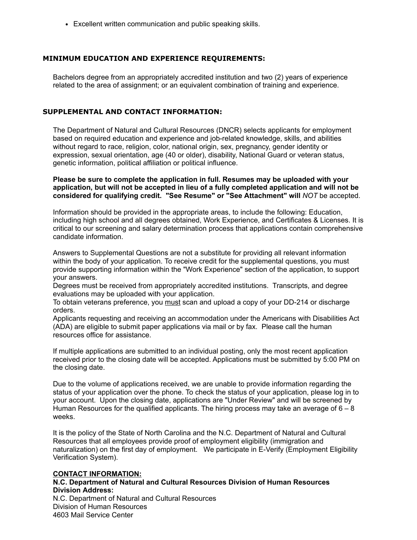Excellent written communication and public speaking skills.

#### **MINIMUM EDUCATION AND EXPERIENCE REQUIREMENTS:**

Bachelors degree from an appropriately accredited institution and two (2) years of experience related to the area of assignment; or an equivalent combination of training and experience.

#### **SUPPLEMENTAL AND CONTACT INFORMATION:**

The Department of Natural and Cultural Resources (DNCR) selects applicants for employment based on required education and experience and job-related knowledge, skills, and abilities without regard to race, religion, color, national origin, sex, pregnancy, gender identity or expression, sexual orientation, age (40 or older), disability, National Guard or veteran status, genetic information, political affiliation or political influence.

**Please be sure to complete the application in full. Resumes may be uploaded with your application, but will not be accepted in lieu of a fully completed application and will not be considered for qualifying credit. "See Resume" or "See Attachment" will** *NOT* be accepted.

Information should be provided in the appropriate areas, to include the following: Education, including high school and all degrees obtained, Work Experience, and Certificates & Licenses. It is critical to our screening and salary determination process that applications contain comprehensive candidate information.

Answers to Supplemental Questions are not a substitute for providing all relevant information within the body of your application. To receive credit for the supplemental questions, you must provide supporting information within the "Work Experience" section of the application, to support your answers.

Degrees must be received from appropriately accredited institutions. Transcripts, and degree evaluations may be uploaded with your application.

To obtain veterans preference, you must scan and upload a copy of your DD-214 or discharge orders.

Applicants requesting and receiving an accommodation under the Americans with Disabilities Act (ADA) are eligible to submit paper applications via mail or by fax. Please call the human resources office for assistance.

If multiple applications are submitted to an individual posting, only the most recent application received prior to the closing date will be accepted. Applications must be submitted by 5:00 PM on the closing date.

Due to the volume of applications received, we are unable to provide information regarding the status of your application over the phone. To check the status of your application, please log in to your account. Upon the closing date, applications are "Under Review" and will be screened by Human Resources for the qualified applicants. The hiring process may take an average of  $6 - 8$ weeks.

It is the policy of the State of North Carolina and the N.C. Department of Natural and Cultural Resources that all employees provide proof of employment eligibility (immigration and naturalization) on the first day of employment. We participate in E-Verify (Employment Eligibility Verification System).

#### **CONTACT INFORMATION: N.C. Department of Natural and Cultural Resources Division of Human Resources Division Address:** N.C. Department of Natural and Cultural Resources Division of Human Resources

4603 Mail Service Center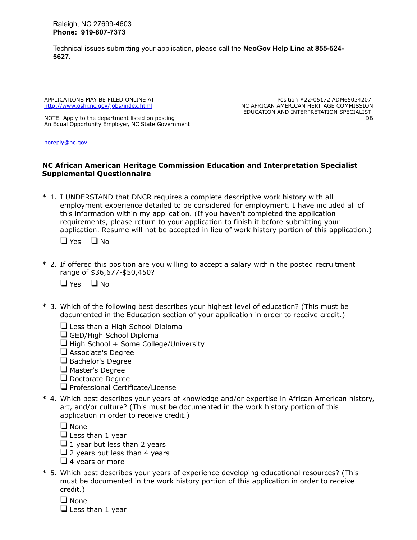Raleigh, NC 27699-4603 **Phone: 919-807-7373**

Technical issues submitting your application, please call the **NeoGov Help Line at 855-524- 5627.**

APPLICATIONS MAY BE FILED ONLINE AT: <http://www.oshr.nc.gov/jobs/index.html>

NOTE: Apply to the department listed on posting An Equal Opportunity Employer, NC State Government

Position #22-05172 ADM65034207 NC AFRICAN AMERICAN HERITAGE COMMISSION EDUCATION AND INTERPRETATION SPECIALIST DB

[noreply@nc.gov](mailto:noreply@nc.gov)

#### **NC African American Heritage Commission Education and Interpretation Specialist Supplemental Questionnaire**

\* 1. I UNDERSTAND that DNCR requires a complete descriptive work history with all employment experience detailed to be considered for employment. I have included all of this information within my application. (If you haven't completed the application requirements, please return to your application to finish it before submitting your application. Resume will not be accepted in lieu of work history portion of this application.)

 $\Box$  Yes  $\Box$  No

- \* 2. If offered this position are you willing to accept a salary within the posted recruitment range of \$36,677-\$50,450?
	- $\Box$  Yes  $\Box$  No
- \* 3. Which of the following best describes your highest level of education? (This must be documented in the Education section of your application in order to receive credit.)
	- $\Box$  Less than a High School Diploma
	- GED/High School Diploma
	- $\Box$  High School + Some College/University
	- Associate's Degree
	- $\Box$  Bachelor's Degree
	- $\Box$  Master's Degree
	- Doctorate Degree
	- $\Box$  Professional Certificate/License
- \* 4. Which best describes your years of knowledge and/or expertise in African American history, art, and/or culture? (This must be documented in the work history portion of this application in order to receive credit.)

 $\Box$  None

- $\Box$  Less than 1 year
- $\Box$  1 year but less than 2 years
- $\Box$  2 years but less than 4 years
- $\Box$  4 years or more
- \* 5. Which best describes your years of experience developing educational resources? (This must be documented in the work history portion of this application in order to receive credit.)
	- $\Box$  None
	- $\Box$  Less than 1 year